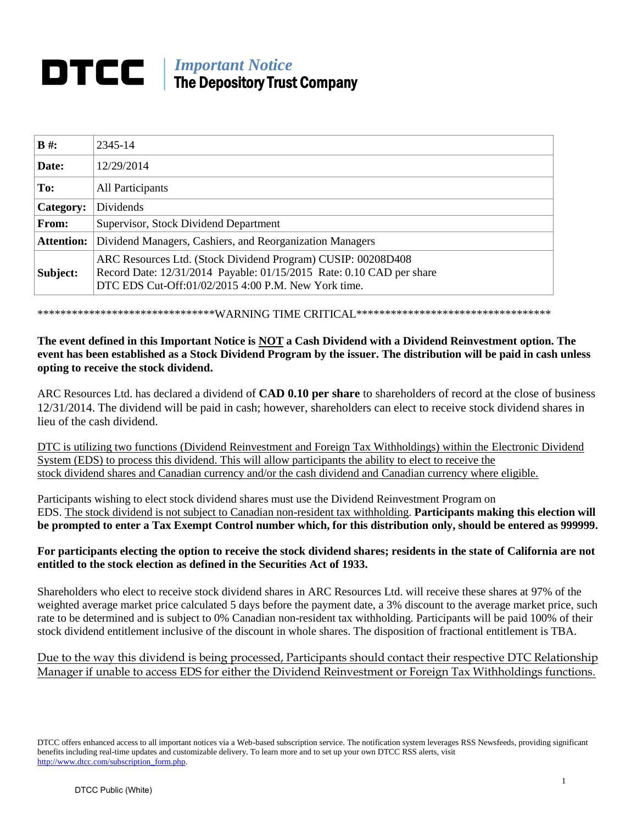# *Important Notice* The Depository Trust Company

| $B \#$ :          | 2345-14                                                                                                                                                                                     |
|-------------------|---------------------------------------------------------------------------------------------------------------------------------------------------------------------------------------------|
| Date:             | 12/29/2014                                                                                                                                                                                  |
| To:               | All Participants                                                                                                                                                                            |
| Category:         | Dividends                                                                                                                                                                                   |
| From:             | Supervisor, Stock Dividend Department                                                                                                                                                       |
| <b>Attention:</b> | Dividend Managers, Cashiers, and Reorganization Managers                                                                                                                                    |
| Subject:          | ARC Resources Ltd. (Stock Dividend Program) CUSIP: 00208D408<br>Record Date: 12/31/2014 Payable: 01/15/2015 Rate: 0.10 CAD per share<br>DTC EDS Cut-Off:01/02/2015 4:00 P.M. New York time. |

\*\*\*\*\*\*\*\*\*\*\*\*\*\*\*\*\*\*\*\*\*\*\*\*\*\*\*\*\*\*\*WARNING TIME CRITICAL\*\*\*\*\*\*\*\*\*\*\*\*\*\*\*\*\*\*\*\*\*\*\*\*\*\*\*\*\*\*\*\*\*\*

# **The event defined in this Important Notice is NOT a Cash Dividend with a Dividend Reinvestment option. The event has been established as a Stock Dividend Program by the issuer. The distribution will be paid in cash unless opting to receive the stock dividend.**

ARC Resources Ltd. has declared a dividend of **CAD 0.10 per share** to shareholders of record at the close of business 12/31/2014. The dividend will be paid in cash; however, shareholders can elect to receive stock dividend shares in lieu of the cash dividend.

DTC is utilizing two functions (Dividend Reinvestment and Foreign Tax Withholdings) within the Electronic Dividend System (EDS) to process this dividend. This will allow participants the ability to elect to receive the stock dividend shares and Canadian currency and/or the cash dividend and Canadian currency where eligible.

Participants wishing to elect stock dividend shares must use the Dividend Reinvestment Program on EDS. The stock dividend is not subject to Canadian non-resident tax withholding. **Participants making this election will be prompted to enter a Tax Exempt Control number which, for this distribution only, should be entered as 999999.**

### **For participants electing the option to receive the stock dividend shares; residents in the state of California are not entitled to the stock election as defined in the Securities Act of 1933.**

Shareholders who elect to receive stock dividend shares in ARC Resources Ltd. will receive these shares at 97% of the weighted average market price calculated 5 days before the payment date, a 3% discount to the average market price, such rate to be determined and is subject to 0% Canadian non-resident tax withholding. Participants will be paid 100% of their stock dividend entitlement inclusive of the discount in whole shares. The disposition of fractional entitlement is TBA.

# Due to the way this dividend is being processed, Participants should contact their respective DTC Relationship Manager if unable to access EDS for either the Dividend Reinvestment or Foreign Tax Withholdings functions.

DTCC offers enhanced access to all important notices via a Web-based subscription service. The notification system leverages RSS Newsfeeds, providing significant benefits including real-time updates and customizable delivery. To learn more and to set up your own DTCC RSS alerts, visit [http://www.dtcc.com/subscription\\_form.php.](http://www.dtcc.com/subscription_form.php)